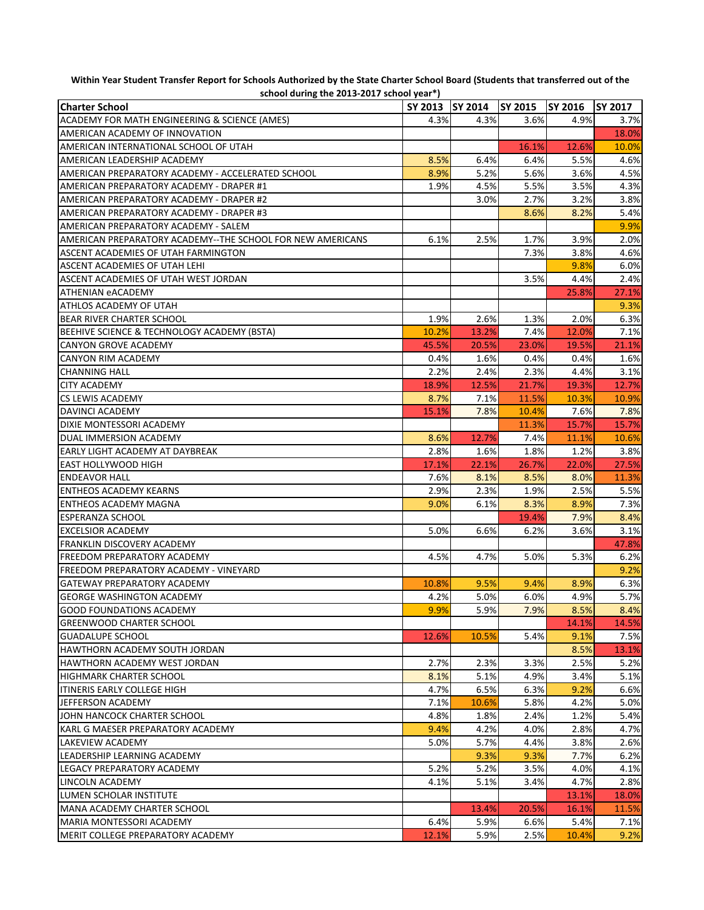| $\frac{1}{2}$<br><b>Charter School</b>                     | SY 2013   SY 2014 |       | <b>SY 2015</b> | <b>SY 2016</b> | <b>SY 2017</b> |
|------------------------------------------------------------|-------------------|-------|----------------|----------------|----------------|
| ACADEMY FOR MATH ENGINEERING & SCIENCE (AMES)              | 4.3%              | 4.3%  | 3.6%           | 4.9%           | 3.7%           |
| AMERICAN ACADEMY OF INNOVATION                             |                   |       |                |                | 18.0%          |
| AMERICAN INTERNATIONAL SCHOOL OF UTAH                      |                   |       | 16.1%          | 12.6%          | 10.0%          |
| AMERICAN LEADERSHIP ACADEMY                                | 8.5%              | 6.4%  | 6.4%           | 5.5%           |                |
|                                                            |                   |       |                |                | 4.6%           |
| AMERICAN PREPARATORY ACADEMY - ACCELERATED SCHOOL          | 8.9%              | 5.2%  | 5.6%           | 3.6%           | 4.5%           |
| AMERICAN PREPARATORY ACADEMY - DRAPER #1                   | 1.9%              | 4.5%  | 5.5%           | 3.5%           | 4.3%           |
| AMERICAN PREPARATORY ACADEMY - DRAPER #2                   |                   | 3.0%  | 2.7%           | 3.2%           | 3.8%           |
| AMERICAN PREPARATORY ACADEMY - DRAPER #3                   |                   |       | 8.6%           | 8.2%           | 5.4%           |
| AMERICAN PREPARATORY ACADEMY - SALEM                       |                   |       |                |                | 9.9%           |
| AMERICAN PREPARATORY ACADEMY--THE SCHOOL FOR NEW AMERICANS | 6.1%              | 2.5%  | 1.7%           | 3.9%           | 2.0%           |
| ASCENT ACADEMIES OF UTAH FARMINGTON                        |                   |       | 7.3%           | 3.8%           | 4.6%           |
| ASCENT ACADEMIES OF UTAH LEHI                              |                   |       |                | 9.8%           | 6.0%           |
| ASCENT ACADEMIES OF UTAH WEST JORDAN                       |                   |       | 3.5%           | 4.4%           | 2.4%           |
| <b>ATHENIAN eACADEMY</b>                                   |                   |       |                | 25.8%          | 27.1%          |
| ATHLOS ACADEMY OF UTAH                                     |                   |       |                |                | 9.3%           |
| <b>BEAR RIVER CHARTER SCHOOL</b>                           | 1.9%              | 2.6%  | 1.3%           | 2.0%           | 6.3%           |
| BEEHIVE SCIENCE & TECHNOLOGY ACADEMY (BSTA)                | 10.2%             | 13.2% | 7.4%           | 12.0%          | 7.1%           |
| <b>CANYON GROVE ACADEMY</b>                                | 45.5%             | 20.5% | 23.0%          | 19.5%          | 21.1%          |
| <b>CANYON RIM ACADEMY</b>                                  | 0.4%              | 1.6%  | 0.4%           | 0.4%           | 1.6%           |
| <b>CHANNING HALL</b>                                       | 2.2%              | 2.4%  | 2.3%           | 4.4%           | 3.1%           |
| <b>CITY ACADEMY</b>                                        | 18.9%             | 12.5% | 21.7%          | 19.3%          | 12.7%          |
| <b>CS LEWIS ACADEMY</b>                                    | 8.7%              | 7.1%  | 11.5%          | 10.3%          | 10.9%          |
| <b>DAVINCI ACADEMY</b>                                     | 15.1%             | 7.8%  | 10.4%          | 7.6%           | 7.8%           |
| DIXIE MONTESSORI ACADEMY                                   |                   |       | 11.3%          | 15.7%          | 15.7%          |
| DUAL IMMERSION ACADEMY                                     | 8.6%              | 12.7% | 7.4%           | 11.1%          | 10.6%          |
| <b>EARLY LIGHT ACADEMY AT DAYBREAK</b>                     | 2.8%              | 1.6%  | 1.8%           | 1.2%           | 3.8%           |
| <b>EAST HOLLYWOOD HIGH</b>                                 | 17.1%             | 22.1% | 26.7%          | 22.0%          | 27.5%          |
| <b>ENDEAVOR HALL</b>                                       | 7.6%              | 8.1%  | 8.5%           | 8.0%           | 11.3%          |
| <b>ENTHEOS ACADEMY KEARNS</b>                              | 2.9%              | 2.3%  | 1.9%           | 2.5%           | 5.5%           |
| <b>ENTHEOS ACADEMY MAGNA</b>                               | 9.0%              | 6.1%  | 8.3%           | 8.9%           | 7.3%           |
| <b>ESPERANZA SCHOOL</b>                                    |                   |       | 19.4%          | 7.9%           | 8.4%           |
| <b>EXCELSIOR ACADEMY</b>                                   | 5.0%              | 6.6%  | 6.2%           | 3.6%           | 3.1%           |
| IFRANKLIN DISCOVERY ACADEMY                                |                   |       |                |                | 47.8%          |
| <b>IFREEDOM PREPARATORY ACADEMY</b>                        | 4.5%              | 4.7%  | 5.0%           | 5.3%           | 6.2%           |
| IFREEDOM PREPARATORY ACADEMY - VINEYARD                    |                   |       |                |                | 9.2%           |
| <b>GATEWAY PREPARATORY ACADEMY</b>                         | 10.8%             | 9.5%  | 9.4%           | 8.9%           | 6.3%           |
| <b>GEORGE WASHINGTON ACADEMY</b>                           | 4.2%              | 5.0%  | 6.0%           | 4.9%           | 5.7%           |
| <b>GOOD FOUNDATIONS ACADEMY</b>                            | 9.9%              | 5.9%  | 7.9%           | 8.5%           | 8.4%           |
| <b>GREENWOOD CHARTER SCHOOL</b>                            |                   |       |                | 14.1%          | 14.5%          |
| <b>GUADALUPE SCHOOL</b>                                    | 12.6%             | 10.5% | 5.4%           | 9.1%           | 7.5%           |
|                                                            |                   |       |                |                |                |
| HAWTHORN ACADEMY SOUTH JORDAN                              |                   |       |                | 8.5%           | 13.1%          |
| HAWTHORN ACADEMY WEST JORDAN                               | 2.7%              | 2.3%  | 3.3%           | 2.5%           | 5.2%           |
| <b>HIGHMARK CHARTER SCHOOL</b>                             | 8.1%              | 5.1%  | 4.9%           | 3.4%           | 5.1%           |
| litineris early college high                               | 4.7%              | 6.5%  | 6.3%           | 9.2%           | 6.6%           |
| JEFFERSON ACADEMY                                          | 7.1%              | 10.6% | 5.8%           | 4.2%           | 5.0%           |
| JOHN HANCOCK CHARTER SCHOOL                                | 4.8%              | 1.8%  | 2.4%           | 1.2%           | 5.4%           |
| KARL G MAESER PREPARATORY ACADEMY                          | 9.4%              | 4.2%  | 4.0%           | 2.8%           | 4.7%           |
| LAKEVIEW ACADEMY                                           | 5.0%              | 5.7%  | 4.4%           | 3.8%           | 2.6%           |
| LEADERSHIP LEARNING ACADEMY                                |                   | 9.3%  | 9.3%           | 7.7%           | 6.2%           |
| LEGACY PREPARATORY ACADEMY                                 | 5.2%              | 5.2%  | 3.5%           | 4.0%           | 4.1%           |
| LINCOLN ACADEMY                                            | 4.1%              | 5.1%  | 3.4%           | 4.7%           | 2.8%           |
| LUMEN SCHOLAR INSTITUTE                                    |                   |       |                | 13.1%          | 18.0%          |
| MANA ACADEMY CHARTER SCHOOL                                |                   | 13.4% | 20.5%          | 16.1%          | 11.5%          |
| <b>MARIA MONTESSORI ACADEMY</b>                            | 6.4%              | 5.9%  | 6.6%           | 5.4%           | 7.1%           |
| MERIT COLLEGE PREPARATORY ACADEMY                          | 12.1%             | 5.9%  | 2.5%           | 10.4%          | 9.2%           |

**Within Year Student Transfer Report for Schools Authorized by the State Charter School Board (Students that transferred out of the school during the 2013-2017 school year\*)**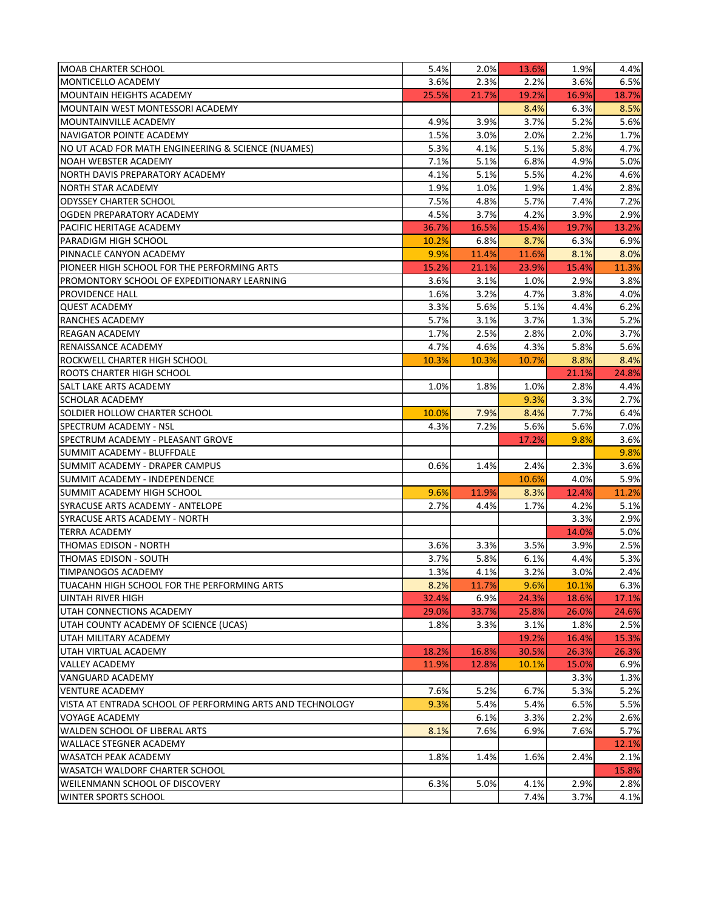| <b>MOAB CHARTER SCHOOL</b>                                 | 5.4%  | 2.0%  | 13.6%        | 1.9%         | 4.4%         |
|------------------------------------------------------------|-------|-------|--------------|--------------|--------------|
| <b>MONTICELLO ACADEMY</b>                                  | 3.6%  | 2.3%  | 2.2%         | 3.6%         | 6.5%         |
| IMOUNTAIN HEIGHTS ACADEMY                                  | 25.5% | 21.7% | 19.2%        | 16.9%        | 18.7%        |
| MOUNTAIN WEST MONTESSORI ACADEMY                           |       |       | 8.4%         | 6.3%         | 8.5%         |
| IMOUNTAINVILLE ACADEMY                                     | 4.9%  | 3.9%  | 3.7%         | 5.2%         | 5.6%         |
| NAVIGATOR POINTE ACADEMY                                   | 1.5%  | 3.0%  | 2.0%         | 2.2%         | 1.7%         |
| NO UT ACAD FOR MATH ENGINEERING & SCIENCE (NUAMES)         | 5.3%  | 4.1%  | 5.1%         | 5.8%         | 4.7%         |
| NOAH WEBSTER ACADEMY                                       | 7.1%  | 5.1%  | 6.8%         | 4.9%         | 5.0%         |
| NORTH DAVIS PREPARATORY ACADEMY                            | 4.1%  | 5.1%  | 5.5%         | 4.2%         | 4.6%         |
| <b>NORTH STAR ACADEMY</b>                                  | 1.9%  | 1.0%  | 1.9%         | 1.4%         | 2.8%         |
| <b>ODYSSEY CHARTER SCHOOL</b>                              | 7.5%  | 4.8%  | 5.7%         | 7.4%         | 7.2%         |
| OGDEN PREPARATORY ACADEMY                                  | 4.5%  | 3.7%  | 4.2%         | 3.9%         | 2.9%         |
| PACIFIC HERITAGE ACADEMY                                   | 36.7% | 16.5% | 15.4%        | 19.7%        | 13.2%        |
| PARADIGM HIGH SCHOOL                                       | 10.2% | 6.8%  | 8.7%         | 6.3%         | 6.9%         |
| <b>PINNACLE CANYON ACADEMY</b>                             | 9.9%  | 11.4% | 11.6%        | 8.1%         | 8.0%         |
| PIONEER HIGH SCHOOL FOR THE PERFORMING ARTS                | 15.2% | 21.1% | 23.9%        | 15.4%        | 11.3%        |
| <b>PROMONTORY SCHOOL OF EXPEDITIONARY LEARNING</b>         | 3.6%  | 3.1%  | 1.0%         | 2.9%         | 3.8%         |
| <b>PROVIDENCE HALL</b>                                     | 1.6%  | 3.2%  | 4.7%         | 3.8%         | 4.0%         |
| <b>QUEST ACADEMY</b>                                       | 3.3%  | 5.6%  | 5.1%         | 4.4%         | 6.2%         |
| <b>RANCHES ACADEMY</b>                                     | 5.7%  | 3.1%  | 3.7%         | 1.3%         | 5.2%         |
| <b>REAGAN ACADEMY</b>                                      | 1.7%  | 2.5%  | 2.8%         | 2.0%         | 3.7%         |
|                                                            |       |       |              |              |              |
| RENAISSANCE ACADEMY                                        | 4.7%  | 4.6%  | 4.3%         | 5.8%         | 5.6%         |
| <b>ROCKWELL CHARTER HIGH SCHOOL</b>                        | 10.3% | 10.3% | 10.7%        | 8.8%         | 8.4%         |
| ROOTS CHARTER HIGH SCHOOL                                  |       |       |              | 21.1%        | 24.8%        |
| <b>SALT LAKE ARTS ACADEMY</b><br><b>SCHOLAR ACADEMY</b>    | 1.0%  | 1.8%  | 1.0%<br>9.3% | 2.8%<br>3.3% | 4.4%<br>2.7% |
|                                                            |       |       |              |              |              |
| SOLDIER HOLLOW CHARTER SCHOOL                              | 10.0% | 7.9%  | 8.4%         | 7.7%         | 6.4%         |
| <b>ISPECTRUM ACADEMY - NSL</b>                             | 4.3%  | 7.2%  | 5.6%         | 5.6%         | 7.0%         |
| SPECTRUM ACADEMY - PLEASANT GROVE                          |       |       | 17.2%        | 9.8%         | 3.6%         |
| SUMMIT ACADEMY - BLUFFDALE                                 |       |       |              |              | 9.8%         |
| SUMMIT ACADEMY - DRAPER CAMPUS                             | 0.6%  | 1.4%  | 2.4%         | 2.3%         | 3.6%         |
| SUMMIT ACADEMY - INDEPENDENCE                              |       |       | 10.6%        | 4.0%         | 5.9%         |
| ISUMMIT ACADEMY HIGH SCHOOL                                | 9.6%  | 11.9% | 8.3%         | 12.4%        | 11.2%        |
| <b>ISYRACUSE ARTS ACADEMY - ANTELOPE</b>                   | 2.7%  | 4.4%  | 1.7%         | 4.2%         | 5.1%         |
| ISYRACUSE ARTS ACADEMY - NORTH                             |       |       |              | 3.3%         | 2.9%         |
| <b>TERRA ACADEMY</b>                                       |       |       |              | 14.0%        | 5.0%         |
| THOMAS EDISON - NORTH                                      | 3.6%  | 3.3%  | 3.5%         | 3.9%         | 2.5%         |
| <b>THOMAS EDISON - SOUTH</b>                               | 3.7%  | 5.8%  | 6.1%         | 4.4%         | 5.3%         |
| <b>TIMPANOGOS ACADEMY</b>                                  | 1.3%  | 4.1%  | 3.2%         | 3.0%         | 2.4%         |
| ITUACAHN HIGH SCHOOL FOR THE PERFORMING ARTS               | 8.2%  | 11.7% | 9.6%         | 10.1%        | 6.3%         |
| UINTAH RIVER HIGH                                          | 32.4% | 6.9%  | 24.3%        | 18.6%        | 17.1%        |
| UTAH CONNECTIONS ACADEMY                                   | 29.0% | 33.7% | 25.8%        | 26.0%        | 24.6%        |
| UTAH COUNTY ACADEMY OF SCIENCE (UCAS)                      | 1.8%  | 3.3%  | 3.1%         | 1.8%         | 2.5%         |
| UTAH MILITARY ACADEMY                                      |       |       | 19.2%        | 16.4%        | 15.3%        |
| UTAH VIRTUAL ACADEMY                                       | 18.2% | 16.8% | 30.5%        | 26.3%        | 26.3%        |
| <b>VALLEY ACADEMY</b>                                      | 11.9% | 12.8% | 10.1%        | 15.0%        | 6.9%         |
| VANGUARD ACADEMY                                           |       |       |              | 3.3%         | 1.3%         |
| <b>VENTURE ACADEMY</b>                                     | 7.6%  | 5.2%  | 6.7%         | 5.3%         | 5.2%         |
| lVISTA AT ENTRADA SCHOOL OF PERFORMING ARTS AND TECHNOLOGY | 9.3%  | 5.4%  | 5.4%         | 6.5%         | 5.5%         |
| <b>VOYAGE ACADEMY</b>                                      |       | 6.1%  | 3.3%         | 2.2%         | 2.6%         |
| WALDEN SCHOOL OF LIBERAL ARTS                              | 8.1%  | 7.6%  | 6.9%         | 7.6%         | 5.7%         |
| <b>WALLACE STEGNER ACADEMY</b>                             |       |       |              |              | 12.1%        |
| <b>WASATCH PEAK ACADEMY</b>                                | 1.8%  | 1.4%  | 1.6%         | 2.4%         | 2.1%         |
| <b>WASATCH WALDORF CHARTER SCHOOL</b>                      |       |       |              |              | 15.8%        |
| <b>WEILENMANN SCHOOL OF DISCOVERY</b>                      | 6.3%  | 5.0%  | 4.1%         | 2.9%         | 2.8%         |
| <b>WINTER SPORTS SCHOOL</b>                                |       |       | 7.4%         | 3.7%         | 4.1%         |